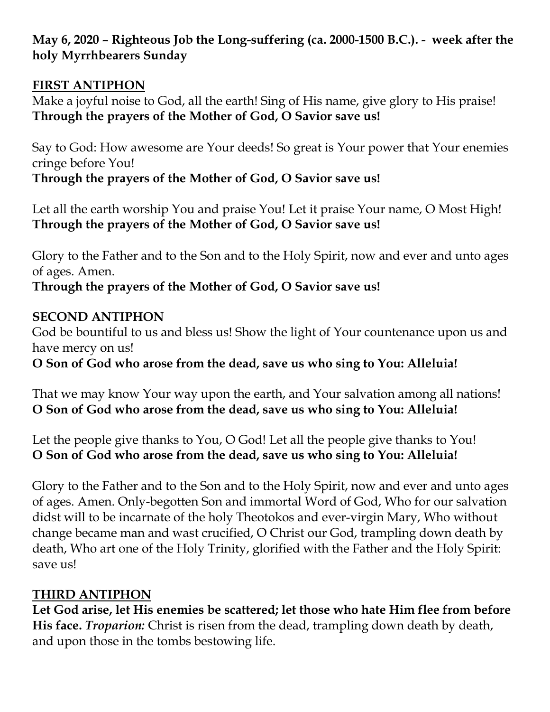**May 6, 2020 – Righteous Job the Long-suffering (ca. 2000-1500 B.C.). - week after the holy Myrrhbearers Sunday**

#### **FIRST ANTIPHON**

Make a joyful noise to God, all the earth! Sing of His name, give glory to His praise! **Through the prayers of the Mother of God, O Savior save us!**

Say to God: How awesome are Your deeds! So great is Your power that Your enemies cringe before You!

**Through the prayers of the Mother of God, O Savior save us!**

Let all the earth worship You and praise You! Let it praise Your name, O Most High! **Through the prayers of the Mother of God, O Savior save us!**

Glory to the Father and to the Son and to the Holy Spirit, now and ever and unto ages of ages. Amen.

# **Through the prayers of the Mother of God, O Savior save us!**

## **SECOND ANTIPHON**

God be bountiful to us and bless us! Show the light of Your countenance upon us and have mercy on us!

**O Son of God who arose from the dead, save us who sing to You: Alleluia!**

That we may know Your way upon the earth, and Your salvation among all nations! **O Son of God who arose from the dead, save us who sing to You: Alleluia!**

Let the people give thanks to You, O God! Let all the people give thanks to You! **O Son of God who arose from the dead, save us who sing to You: Alleluia!**

Glory to the Father and to the Son and to the Holy Spirit, now and ever and unto ages of ages. Amen. Only-begotten Son and immortal Word of God, Who for our salvation didst will to be incarnate of the holy Theotokos and ever-virgin Mary, Who without change became man and wast crucified, O Christ our God, trampling down death by death, Who art one of the Holy Trinity, glorified with the Father and the Holy Spirit: save us!

# **THIRD ANTIPHON**

**Let God arise, let His enemies be scattered; let those who hate Him flee from before His face.** *Troparion:* Christ is risen from the dead, trampling down death by death, and upon those in the tombs bestowing life.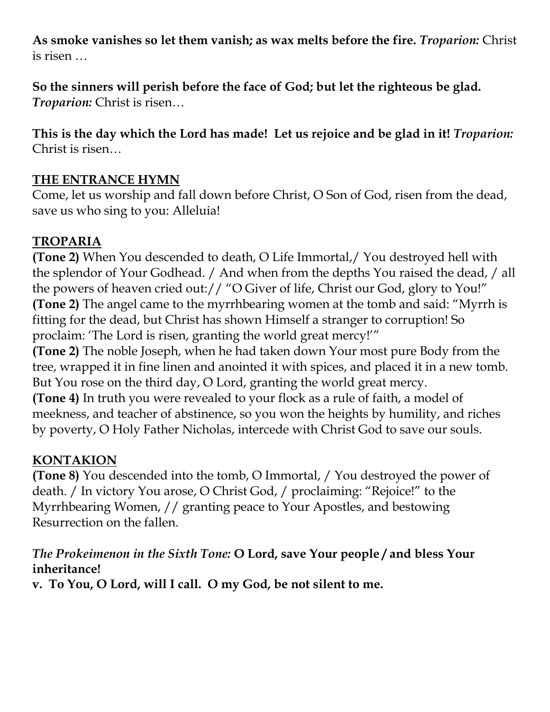**As smoke vanishes so let them vanish; as wax melts before the fire.** *Troparion:* Christ is risen …

**So the sinners will perish before the face of God; but let the righteous be glad.** *Troparion:* Christ is risen…

**This is the day which the Lord has made! Let us rejoice and be glad in it!** *Troparion:* Christ is risen…

#### **THE ENTRANCE HYMN**

Come, let us worship and fall down before Christ, O Son of God, risen from the dead, save us who sing to you: Alleluia!

#### **TROPARIA**

**(Tone 2)** When You descended to death, O Life Immortal,/ You destroyed hell with the splendor of Your Godhead. / And when from the depths You raised the dead, / all the powers of heaven cried out:// "O Giver of life, Christ our God, glory to You!" **(Tone 2)** The angel came to the myrrhbearing women at the tomb and said: "Myrrh is fitting for the dead, but Christ has shown Himself a stranger to corruption! So proclaim: 'The Lord is risen, granting the world great mercy!'"

**(Tone 2)** The noble Joseph, when he had taken down Your most pure Body from the tree, wrapped it in fine linen and anointed it with spices, and placed it in a new tomb. But You rose on the third day, O Lord, granting the world great mercy.

**(Tone 4)** In truth you were revealed to your flock as a rule of faith, a model of meekness, and teacher of abstinence, so you won the heights by humility, and riches by poverty, O Holy Father Nicholas, intercede with Christ God to save our souls.

## **KONTAKION**

**(Tone 8)** You descended into the tomb, O Immortal, / You destroyed the power of death. / In victory You arose, O Christ God, / proclaiming: "Rejoice!" to the Myrrhbearing Women, // granting peace to Your Apostles, and bestowing Resurrection on the fallen.

#### *The Prokeimenon in the Sixth Tone:* **O Lord, save Your people / and bless Your inheritance!**

**v. To You, O Lord, will I call. O my God, be not silent to me.**